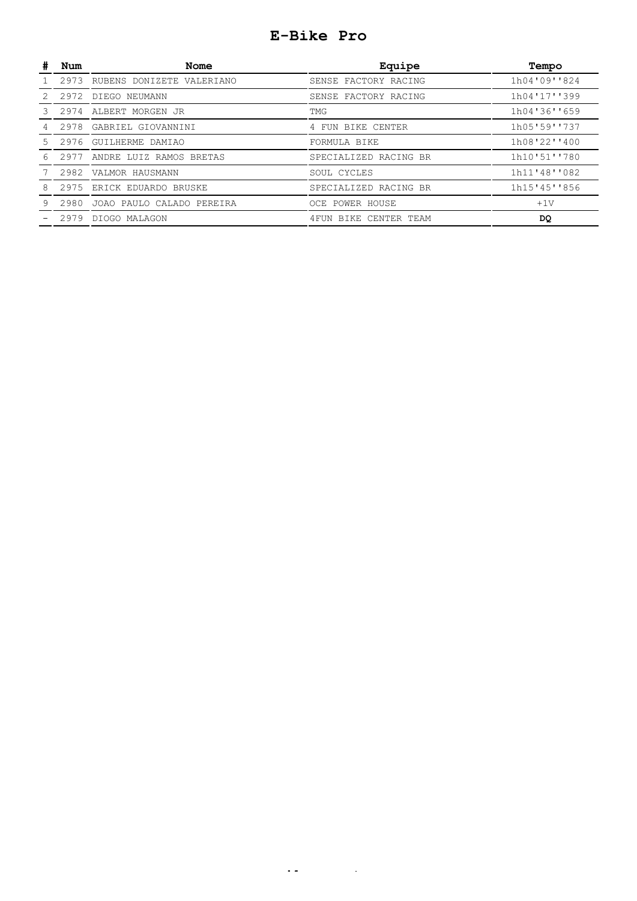## **E-Bike Pro**

|     | Num  | Nome                           | Equipe                 | Tempo        |
|-----|------|--------------------------------|------------------------|--------------|
|     |      | 2973 RUBENS DONIZETE VALERIANO | SENSE FACTORY RACING   | 1h04'09''824 |
| 2.  | 2972 | DIEGO NEUMANN                  | SENSE FACTORY RACING   | 1h04'17''399 |
|     | 2974 | ALBERT MORGEN JR               | TMG                    | 1h04'36''659 |
|     | 2978 | GABRIEL GIOVANNINI             | 4 FUN BIKE CENTER      | 1h05'59''737 |
| .5. | 2976 | GUILHERME DAMIAO               | FORMULA BIKE           | 1h08'22''400 |
| 6   |      | 2977 ANDRE LUIZ RAMOS BRETAS   | SPECIALIZED RACING BR  | 1h10'51''780 |
|     |      | 2982 VALMOR HAUSMANN           | SOUL CYCLES            | 1h11'48''082 |
| 8   | 2975 | ERICK EDUARDO BRUSKE           | SPECIALIZED RACING BR  | 1h15'45''856 |
| 9   |      | 2980 JOAO PAULO CALADO PEREIRA | OCE POWER HOUSE        | $+1V$        |
|     |      | 2979 DIOGO MALAGON             | 4 FUN BIKE CENTER TEAM | DQ           |
|     |      |                                |                        |              |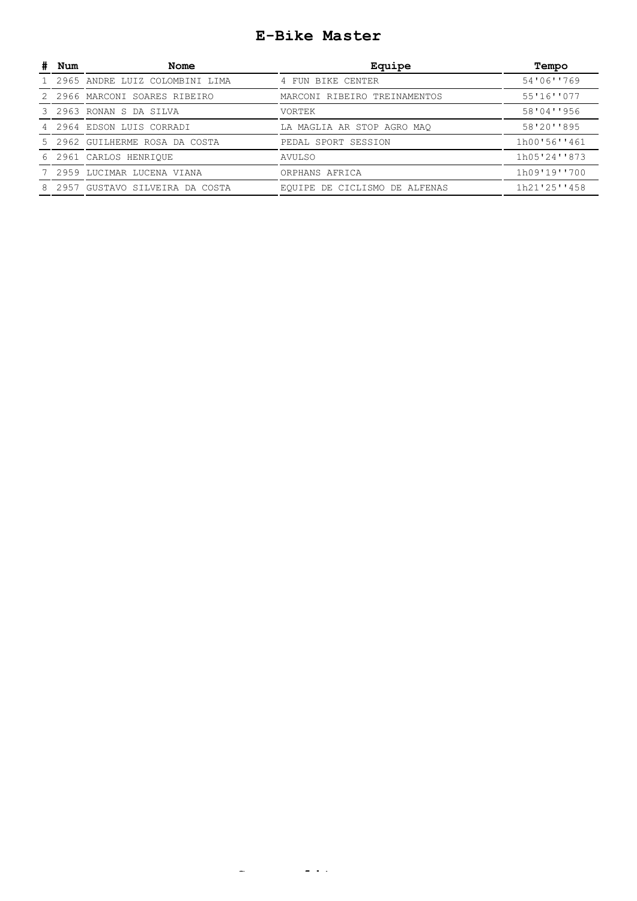## **E-Bike Master**

| Num  | Nome                           | Equipe                           | Tempo        |
|------|--------------------------------|----------------------------------|--------------|
|      | 2965 ANDRE LUIZ COLOMBINI LIMA | 4 FUN BIKE CENTER                | 54'06''769   |
|      | 2966 MARCONI SOARES RIBEIRO    | MARCONI RIBEIRO TREINAMENTOS     | 55'16''077   |
|      | 3 2963 RONAN S DA SILVA        | VORTEK                           | 58'04''956   |
|      | 4 2964 EDSON LUIS CORRADI      | LA MAGLIA AR STOP AGRO MAO       | 58'20''895   |
|      | 5 2962 GUILHERME ROSA DA COSTA | PEDAL SPORT SESSION              | 1h00'56''461 |
|      | 6 2961 CARLOS HENRIOUE         | AVULSO                           | 1h05'24''873 |
|      | 2959 LUCIMAR LUCENA VIANA      | ORPHANS AFRICA                   | 1h09'19''700 |
| 2957 | GUSTAVO SILVEIRA<br>DA COSTA   | DE CICLISMO DE ALFENAS<br>EOUIPE | 1h21'25''458 |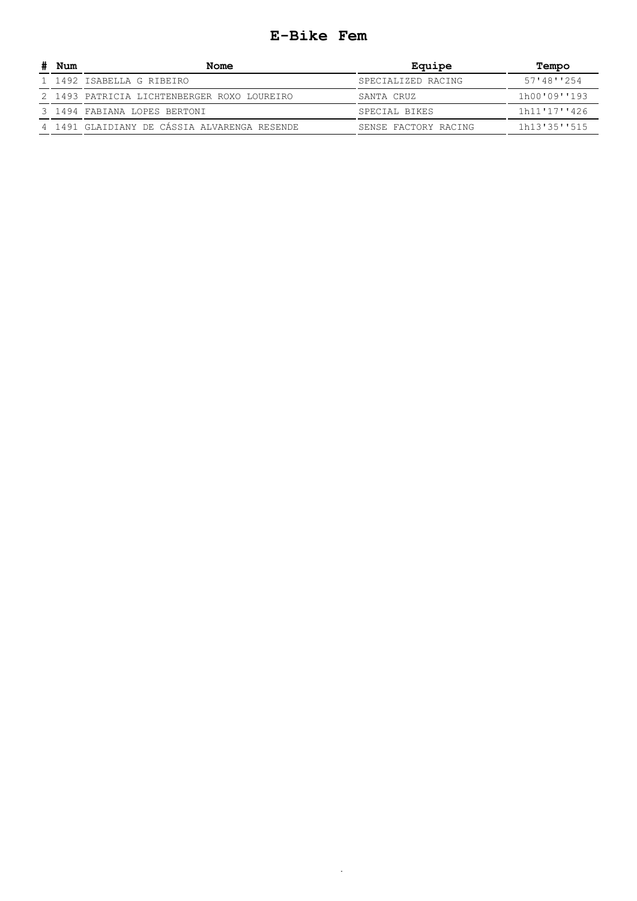#### **E-Bike Fem**

| Num | Nome                                         | Equipe               | Tempo        |
|-----|----------------------------------------------|----------------------|--------------|
|     | 1 1492 ISABELLA G RIBEIRO                    | SPECIALIZED RACING   | 57'48''254   |
|     | 2 1493 PATRICIA LICHTENBERGER ROXO LOUREIRO  | SANTA CRUZ           | 1h00'09''193 |
|     | 3 1494 FABIANA LOPES BERTONI                 | SPECIAL BIKES        | 1h11'17''426 |
|     | 4 1491 GLAIDIANY DE CÁSSIA ALVARENGA RESENDE | SENSE FACTORY RACING | 1h13'35''515 |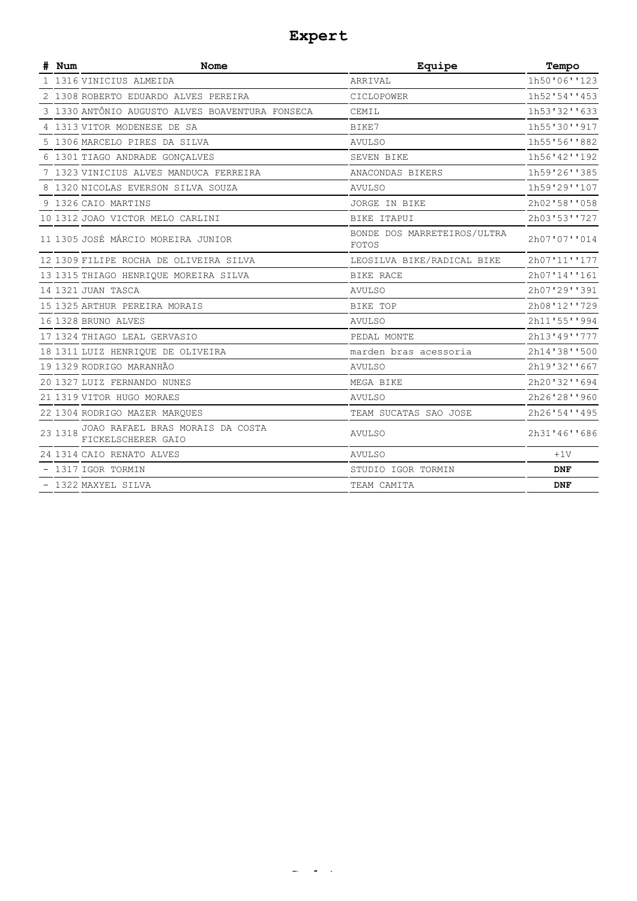## **Expert**

| # Num   | <b>Nome</b>                                            | Equipe                                      | Tempo        |
|---------|--------------------------------------------------------|---------------------------------------------|--------------|
|         | 1 1316 VINICIUS ALMEIDA                                | ARRIVAL                                     | 1h50'06''123 |
|         | 2 1308 ROBERTO EDUARDO ALVES PEREIRA                   | CICLOPOWER                                  | 1h52'54''453 |
|         | 3 1330 ANTÔNIO AUGUSTO ALVES BOAVENTURA FONSECA        | CEMIL                                       | 1h53'32''633 |
|         | 4 1313 VITOR MODENESE DE SA                            | BIKE7                                       | 1h55'30''917 |
|         | 5 1306 MARCELO PIRES DA SILVA                          | <b>AVULSO</b>                               | 1h55'56''882 |
|         | 6 1301 TIAGO ANDRADE GONÇALVES                         | SEVEN BIKE                                  | 1h56'42''192 |
|         | 7 1323 VINICIUS ALVES MANDUCA FERREIRA                 | ANACONDAS BIKERS                            | 1h59'26''385 |
|         | 8 1320 NICOLAS EVERSON SILVA SOUZA                     | <b>AVULSO</b>                               | 1h59'29''107 |
|         | 9 1326 CAIO MARTINS                                    | JORGE IN BIKE                               | 2h02'58''058 |
|         | 10 1312 JOAO VICTOR MELO CARLINI                       | BIKE ITAPUI                                 | 2h03'53''727 |
|         | 11 1305 JOSÉ MÁRCIO MOREIRA JUNIOR                     | BONDE DOS MARRETEIROS/ULTRA<br><b>FOTOS</b> | 2h07'07''014 |
|         | 12 1309 FILIPE ROCHA DE OLIVEIRA SILVA                 | LEOSILVA BIKE/RADICAL BIKE                  | 2h07'11''177 |
|         | 13 1315 THIAGO HENRIQUE MOREIRA SILVA                  | BIKE RACE                                   | 2h07'14''161 |
|         | 14 1321 JUAN TASCA                                     | <b>AVULSO</b>                               | 2h07'29''391 |
|         | 15 1325 ARTHUR PEREIRA MORAIS                          | BIKE TOP                                    | 2h08'12''729 |
|         | 16 1328 BRUNO ALVES                                    | <b>AVULSO</b>                               | 2h11'55''994 |
|         | 17 1324 THIAGO LEAL GERVASIO                           | PEDAL MONTE                                 | 2h13'49''777 |
|         | 18 1311 LUIZ HENRIQUE DE OLIVEIRA                      | marden bras acessoria                       | 2h14'38''500 |
|         | 19 1329 RODRIGO MARANHÃO                               | <b>AVULSO</b>                               | 2h19'32''667 |
|         | 20 1327 LUIZ FERNANDO NUNES                            | MEGA BIKE                                   | 2h20'32''694 |
|         | 21 1319 VITOR HUGO MORAES                              | <b>AVULSO</b>                               | 2h26'28''960 |
|         | 22 1304 RODRIGO MAZER MAROUES                          | TEAM SUCATAS SAO JOSE                       | 2h26'54''495 |
| 23 1318 | JOAO RAFAEL BRAS MORAIS DA COSTA<br>FICKELSCHERER GAIO | <b>AVULSO</b>                               | 2h31'46''686 |
|         | 24 1314 CAIO RENATO ALVES                              | <b>AVULSO</b>                               | $+1V$        |
|         | - 1317 IGOR TORMIN                                     | STUDIO IGOR TORMIN                          | <b>DNF</b>   |
|         | - 1322 MAXYEL SILVA                                    | TEAM CAMITA                                 | <b>DNF</b>   |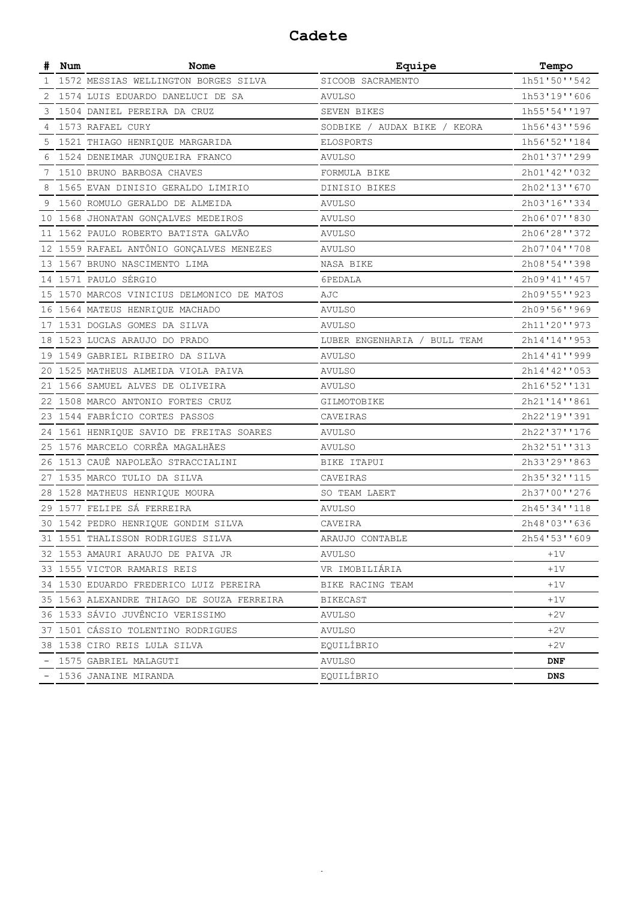### **Cadete**

|   | Num | Nome                                       | Equipe                       | Tempo        |
|---|-----|--------------------------------------------|------------------------------|--------------|
| 1 |     | 1572 MESSIAS WELLINGTON BORGES SILVA       | SICOOB SACRAMENTO            | 1h51'50''542 |
| 2 |     | 1574 LUIS EDUARDO DANELUCI DE SA           | <b>AVULSO</b>                | 1h53'19''606 |
| 3 |     | 1504 DANIEL PEREIRA DA CRUZ                | SEVEN BIKES                  | 1h55'54''197 |
| 4 |     | 1573 RAFAEL CURY                           | SODBIKE / AUDAX BIKE / KEORA | 1h56'43''596 |
| 5 |     | 1521 THIAGO HENRIQUE MARGARIDA             | ELOSPORTS                    | 1h56'52''184 |
|   |     | 1524 DENEIMAR JUNQUEIRA FRANCO             | <b>AVULSO</b>                | 2h01'37''299 |
|   |     | 7 1510 BRUNO BARBOSA CHAVES                | FORMULA BIKE                 | 2h01'42''032 |
| 8 |     | 1565 EVAN DINISIO GERALDO LIMIRIO          | DINISIO BIKES                | 2h02'13''670 |
|   |     | 9 1560 ROMULO GERALDO DE ALMEIDA           | AVULSO                       | 2h03'16''334 |
|   |     | 10 1568 JHONATAN GONÇALVES MEDEIROS        | <b>AVULSO</b>                | 2h06'07''830 |
|   |     | 11 1562 PAULO ROBERTO BATISTA GALVÃO       | AVULSO                       | 2h06'28''372 |
|   |     | 12 1559 RAFAEL ANTÔNIO GONÇALVES MENEZES   | <b>AVULSO</b>                | 2h07'04''708 |
|   |     | 13 1567 BRUNO NASCIMENTO LIMA              | NASA BIKE                    | 2h08'54''398 |
|   |     | 14 1571 PAULO SÉRGIO                       | 6PEDALA                      | 2h09'41''457 |
|   |     | 15 1570 MARCOS VINICIUS DELMONICO DE MATOS | AJC                          | 2h09'55''923 |
|   |     | 16 1564 MATEUS HENRIQUE MACHADO            | <b>AVULSO</b>                | 2h09'56''969 |
|   |     | 17 1531 DOGLAS GOMES DA SILVA              | AVULSO                       | 2h11'20''973 |
|   |     | 18 1523 LUCAS ARAUJO DO PRADO              | LUBER ENGENHARIA / BULL TEAM | 2h14'14''953 |
|   |     | 19 1549 GABRIEL RIBEIRO DA SILVA           | AVULSO                       | 2h14'41''999 |
|   |     | 20 1525 MATHEUS ALMEIDA VIOLA PAIVA        | AVULSO                       | 2h14'42''053 |
|   |     | 21 1566 SAMUEL ALVES DE OLIVEIRA           | <b>AVULSO</b>                | 2h16'52''131 |
|   |     | 22 1508 MARCO ANTONIO FORTES CRUZ          | GILMOTOBIKE                  | 2h21'14''861 |
|   |     | 23 1544 FABRÍCIO CORTES PASSOS             | CAVEIRAS                     | 2h22'19''391 |
|   |     | 24 1561 HENRIQUE SAVIO DE FREITAS SOARES   | AVULSO                       | 2h22'37''176 |
|   |     | 25 1576 MARCELO CORRÊA MAGALHÃES           | AVULSO                       | 2h32'51''313 |
|   |     | 26 1513 CAUÊ NAPOLEÃO STRACCIALINI         | BIKE ITAPUI                  | 2h33'29''863 |
|   |     | 27 1535 MARCO TULIO DA SILVA               | CAVEIRAS                     | 2h35'32''115 |
|   |     | 28 1528 MATHEUS HENRIQUE MOURA             | SO TEAM LAERT                | 2h37'00''276 |
|   |     | 29 1577 FELIPE SÁ FERREIRA                 | <b>AVULSO</b>                | 2h45'34''118 |
|   |     | 30 1542 PEDRO HENRIQUE GONDIM SILVA        | CAVEIRA                      | 2h48'03''636 |
|   |     | 31 1551 THALISSON RODRIGUES SILVA          | ARAUJO CONTABLE              | 2h54'53''609 |
|   |     | 32 1553 AMAURI ARAUJO DE PAIVA JR          | AVULSO                       | $+1V$        |
|   |     | 33 1555 VICTOR RAMARIS REIS                | VR IMOBILIARIA               | $+1V$        |
|   |     | 34 1530 EDUARDO FREDERICO LUIZ PEREIRA     | BIKE RACING TEAM             | $+1V$        |
|   |     | 35 1563 ALEXANDRE THIAGO DE SOUZA FERREIRA | BIKECAST                     | $+1V$        |
|   |     | 36 1533 SÁVIO JUVÊNCIO VERISSIMO           | AVULSO                       | $+2V$        |
|   |     | 37 1501 CÁSSIO TOLENTINO RODRIGUES         | AVULSO                       | $+2V$        |
|   |     | 38 1538 CIRO REIS LULA SILVA               | EQUILÍBRIO                   | $+2V$        |
|   |     | - 1575 GABRIEL MALAGUTI                    | AVULSO                       | DNF          |
|   |     | - 1536 JANAINE MIRANDA                     | EQUILÍBRIO                   | DNS          |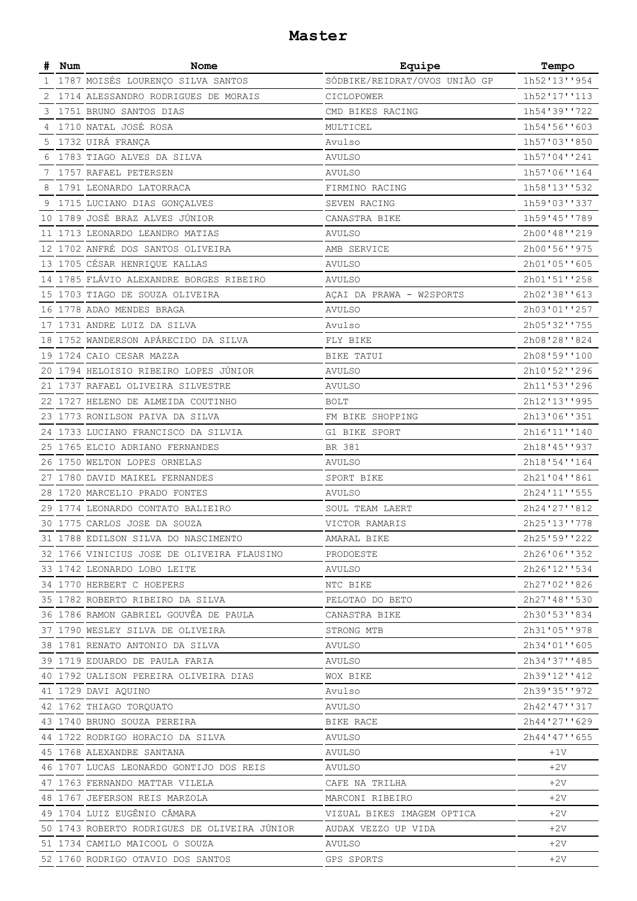#### **Master**

| #  | Num | Nome                                         | Equipe                        | Tempo        |
|----|-----|----------------------------------------------|-------------------------------|--------------|
| 1  |     | 1787 MOISÉS LOURENÇO SILVA SANTOS            | SÓDBIKE/REIDRAT/OVOS UNIÃO GP | 1h52'13''954 |
| 2  |     | 1714 ALESSANDRO RODRIGUES DE MORAIS          | CICLOPOWER                    | 1h52'17''113 |
| 3  |     | 1751 BRUNO SANTOS DIAS                       | CMD BIKES RACING              | 1h54'39''722 |
| 4  |     | 1710 NATAL JOSÉ ROSA                         | MULTICEL                      | 1h54'56''603 |
| 5  |     | 1732 UIRÁ FRANÇA                             | Avulso                        | 1h57'03''850 |
| 6  |     | 1783 TIAGO ALVES DA SILVA                    | AVULSO                        | 1h57'04''241 |
|    |     | 7 1757 RAFAEL PETERSEN                       | <b>AVULSO</b>                 | 1h57'06''164 |
| 8  |     | 1791 LEONARDO LATORRACA                      | FIRMINO RACING                | 1h58'13''532 |
| 9  |     | 1715 LUCIANO DIAS GONÇALVES                  | SEVEN RACING                  | 1h59'03''337 |
| 10 |     | 1789 JOSÉ BRAZ ALVES JÚNIOR                  | CANASTRA BIKE                 | 1h59'45''789 |
|    |     | 11 1713 LEONARDO LEANDRO MATIAS              | <b>AVULSO</b>                 | 2h00'48''219 |
|    |     | 12 1702 ANFRÉ DOS SANTOS OLIVEIRA            | AMB SERVICE                   | 2h00'56''975 |
|    |     | 13 1705 CÉSAR HENRIQUE KALLAS                | <b>AVULSO</b>                 | 2h01'05''605 |
|    |     | 14 1785 FLÁVIO ALEXANDRE BORGES RIBEIRO      | <b>AVULSO</b>                 | 2h01'51''258 |
|    |     | 15 1703 TIAGO DE SOUZA OLIVEIRA              | AÇAI DA PRAWA - W2SPORTS      | 2h02'38''613 |
|    |     | 16 1778 ADAO MENDES BRAGA                    | AVULSO                        | 2h03'01''257 |
|    |     | 17 1731 ANDRE LUIZ DA SILVA                  | Avulso                        | 2h05'32''755 |
|    |     | 18 1752 WANDERSON APÁRECIDO DA SILVA         | FLY BIKE                      | 2h08'28''824 |
|    |     | 19 1724 CAIO CESAR MAZZA                     | BIKE TATUI                    | 2h08'59''100 |
|    |     | 20 1794 HELOISIO RIBEIRO LOPES JUNIOR        | <b>AVULSO</b>                 | 2h10'52''296 |
|    |     | 21 1737 RAFAEL OLIVEIRA SILVESTRE            | <b>AVULSO</b>                 | 2h11'53''296 |
|    |     | 22 1727 HELENO DE ALMEIDA COUTINHO           | <b>BOLT</b>                   | 2h12'13''995 |
|    |     | 23 1773 RONILSON PAIVA DA SILVA              | FM BIKE SHOPPING              | 2h13'06''351 |
|    |     | 24 1733 LUCIANO FRANCISCO DA SILVIA          | G1 BIKE SPORT                 | 2h16'11''140 |
|    |     | 25 1765 ELCIO ADRIANO FERNANDES              | BR 381                        | 2h18'45''937 |
|    |     | 26 1750 WELTON LOPES ORNELAS                 | <b>AVULSO</b>                 | 2h18'54''164 |
|    |     | 27 1780 DAVID MAIKEL FERNANDES               | SPORT BIKE                    | 2h21'04''861 |
|    |     | 28 1720 MARCELIO PRADO FONTES                | <b>AVULSO</b>                 | 2h24'11''555 |
|    |     | 29 1774 LEONARDO CONTATO BALIEIRO            | SOUL TEAM LAERT               | 2h24'27''812 |
|    |     | 30 1775 CARLOS JOSE DA SOUZA                 | VICTOR RAMARIS                | 2h25'13''778 |
|    |     | 31 1788 EDILSON SILVA DO NASCIMENTO          | AMARAL BIKE                   | 2h25'59''222 |
|    |     | 32 1766 VINICIUS JOSE DE OLIVEIRA FLAUSINO   | PRODOESTE                     | 2h26'06''352 |
|    |     | 33 1742 LEONARDO LOBO LEITE                  | AVULSO                        | 2h26'12''534 |
|    |     | 34 1770 HERBERT C HOEPERS                    | NTC BIKE                      | 2h27'02''826 |
|    |     | 35 1782 ROBERTO RIBEIRO DA SILVA             | PELOTAO DO BETO               | 2h27'48''530 |
|    |     | 36 1786 RAMON GABRIEL GOUVÊA DE PAULA        | CANASTRA BIKE                 | 2h30'53''834 |
|    |     | 37 1790 WESLEY SILVA DE OLIVEIRA             | STRONG MTB                    | 2h31'05''978 |
|    |     | 38 1781 RENATO ANTONIO DA SILVA              | <b>AVULSO</b>                 | 2h34'01''605 |
|    |     | 39 1719 EDUARDO DE PAULA FARIA               | AVULSO                        |              |
|    |     |                                              |                               | 2h34'37''485 |
|    |     | 40 1792 UALISON PEREIRA OLIVEIRA DIAS        | WOX BIKE                      | 2h39'12''412 |
|    |     | 41 1729 DAVI AQUINO                          | Avulso                        | 2h39'35''972 |
|    |     | 42 1762 THIAGO TORQUATO                      | AVULSO                        | 2h42'47''317 |
|    |     | 43 1740 BRUNO SOUZA PEREIRA                  | BIKE RACE                     | 2h44'27''629 |
|    |     | 44 1722 RODRIGO HORACIO DA SILVA             | AVULSO                        | 2h44'47''655 |
|    |     | 45 1768 ALEXANDRE SANTANA                    | AVULSO                        | $+1V$        |
|    |     | 46 1707 LUCAS LEONARDO GONTIJO DOS REIS      | AVULSO                        | $+2V$        |
|    |     | 47 1763 FERNANDO MATTAR VILELA               | CAFE NA TRILHA                | $+2V$        |
|    |     | 48 1767 JEFERSON REIS MARZOLA                | MARCONI RIBEIRO               | $+2V$        |
|    |     | 49 1704 LUIZ EUGÊNIO CÂMARA                  | VIZUAL BIKES IMAGEM OPTICA    | $+2V$        |
|    |     | 50 1743 ROBERTO RODRIGUES DE OLIVEIRA JÚNIOR | AUDAX VEZZO UP VIDA           | $+2V$        |
|    |     | 51 1734 CAMILO MAICOOL O SOUZA               | AVULSO                        | $+2V$        |
|    |     | 52 1760 RODRIGO OTAVIO DOS SANTOS            | GPS SPORTS                    | $+2V$        |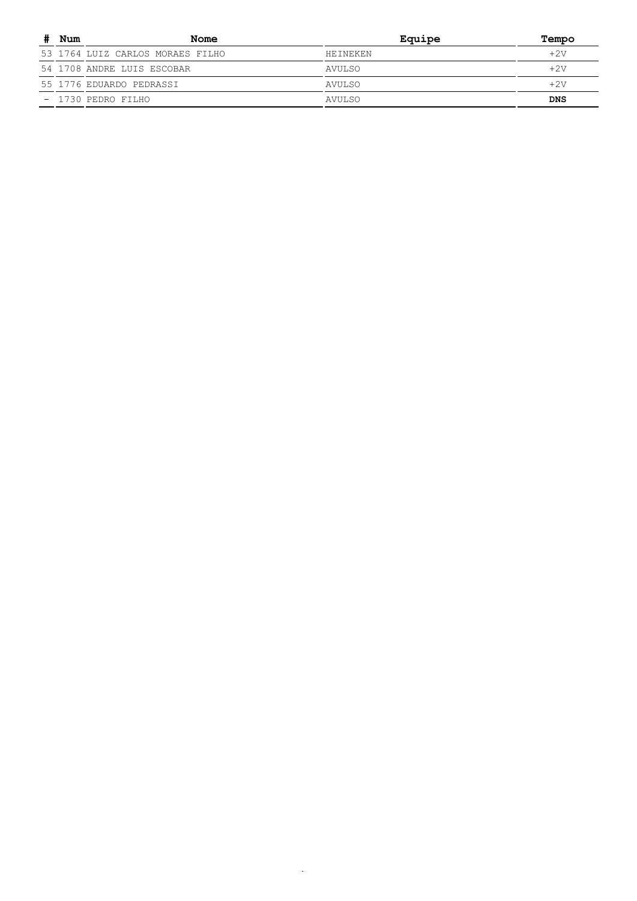| Num | Nome                             | Equipe          | Tempo      |
|-----|----------------------------------|-----------------|------------|
|     | 53 1764 LUIZ CARLOS MORAES FILHO | <b>HETNEKEN</b> | $+2V$      |
|     | 54 1708 ANDRE LUIS ESCOBAR       | AVULSO          | +2v        |
|     | 55 1776 EDUARDO PEDRASSI         | AVULSO          | $+2V$      |
|     | - 1730 PEDRO FILHO               | AVULSO          | <b>DNS</b> |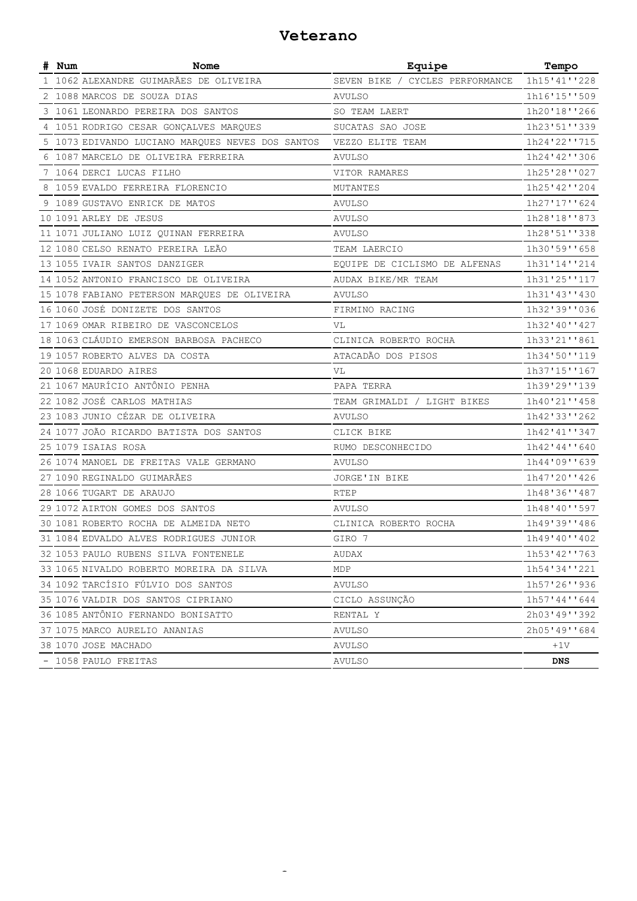#### **Veterano**

| # Num | Nome                                             | Equipe                          | Tempo        |
|-------|--------------------------------------------------|---------------------------------|--------------|
|       | 1 1062 ALEXANDRE GUIMARÃES DE OLIVEIRA           | SEVEN BIKE / CYCLES PERFORMANCE | 1h15'41''228 |
|       | 2 1088 MARCOS DE SOUZA DIAS                      | <b>AVULSO</b>                   | 1h16'15''509 |
|       | 3 1061 LEONARDO PEREIRA DOS SANTOS               | SO TEAM LAERT                   | 1h20'18''266 |
|       | 4 1051 RODRIGO CESAR GONÇALVES MARQUES           | SUCATAS SAO JOSE                | 1h23'51''339 |
|       | 5 1073 EDIVANDO LUCIANO MARQUES NEVES DOS SANTOS | VEZZO ELITE TEAM                | 1h24'22''715 |
|       | 6 1087 MARCELO DE OLIVEIRA FERREIRA              | <b>AVULSO</b>                   | 1h24'42''306 |
|       | 7 1064 DERCI LUCAS FILHO                         | VITOR RAMARES                   | 1h25'28''027 |
|       | 8 1059 EVALDO FERREIRA FLORENCIO                 | MUTANTES                        | 1h25'42''204 |
|       | 9 1089 GUSTAVO ENRICK DE MATOS                   | AVULSO                          | 1h27'17''624 |
|       | 10 1091 ARLEY DE JESUS                           | <b>AVULSO</b>                   | 1h28'18''873 |
|       | 11 1071 JULIANO LUIZ QUINAN FERREIRA             | AVULSO                          | 1h28'51''338 |
|       | 12 1080 CELSO RENATO PEREIRA LEÃO                | TEAM LAERCIO                    | 1h30'59''658 |
|       | 13 1055 IVAIR SANTOS DANZIGER                    | EQUIPE DE CICLISMO DE ALFENAS   | 1h31'14''214 |
|       | 14 1052 ANTONIO FRANCISCO DE OLIVEIRA            | AUDAX BIKE/MR TEAM              | 1h31'25''117 |
|       | 15 1078 FABIANO PETERSON MARQUES DE OLIVEIRA     | AVULSO                          | 1h31'43''430 |
|       | 16 1060 JOSÉ DONIZETE DOS SANTOS                 | FIRMINO RACING                  | 1h32'39''036 |
|       | 17 1069 OMAR RIBEIRO DE VASCONCELOS              | VL                              | 1h32'40''427 |
|       | 18 1063 CLÁUDIO EMERSON BARBOSA PACHECO          | CLINICA ROBERTO ROCHA           | 1h33'21''861 |
|       | 19 1057 ROBERTO ALVES DA COSTA                   | ATACADÃO DOS PISOS              | 1h34'50''119 |
|       | 20 1068 EDUARDO AIRES                            | VL                              | 1h37'15''167 |
|       | 21 1067 MAURÍCIO ANTÔNIO PENHA                   | PAPA TERRA                      | 1h39'29''139 |
|       | 22 1082 JOSÉ CARLOS MATHIAS                      | TEAM GRIMALDI / LIGHT BIKES     | 1h40'21''458 |
|       | 23 1083 JUNIO CÉZAR DE OLIVEIRA                  | <b>AVULSO</b>                   | 1h42'33''262 |
|       | 24 1077 JOÃO RICARDO BATISTA DOS SANTOS          | CLICK BIKE                      | 1h42'41''347 |
|       | 25 1079 ISAIAS ROSA                              | RUMO DESCONHECIDO               | 1h42'44''640 |
|       | 26 1074 MANOEL DE FREITAS VALE GERMANO           | <b>AVULSO</b>                   | 1h44'09''639 |
|       | 27 1090 REGINALDO GUIMARÃES                      | JORGE'IN BIKE                   | 1h47'20''426 |
|       | 28 1066 TUGART DE ARAUJO                         | <b>RTEP</b>                     | 1h48'36''487 |
|       | 29 1072 AIRTON GOMES DOS SANTOS                  | <b>AVULSO</b>                   | 1h48'40''597 |
|       | 30 1081 ROBERTO ROCHA DE ALMEIDA NETO            | CLINICA ROBERTO ROCHA           | 1h49'39''486 |
|       | 31 1084 EDVALDO ALVES RODRIGUES JUNIOR           | GIRO 7                          | 1h49'40''402 |
|       | 32 1053 PAULO RUBENS SILVA FONTENELE             | AUDAX                           | 1h53'42''763 |
|       | 33 1065 NIVALDO ROBERTO MOREIRA DA SILVA         | MDP                             | 1h54'34''221 |
|       | 34 1092 TARCÍSIO FÚLVIO DOS SANTOS               | <b>AVULSO</b>                   | 1h57'26''936 |
|       | 35 1076 VALDIR DOS SANTOS CIPRIANO               | CICLO ASSUNÇÃO                  | 1h57'44''644 |
|       | 36 1085 ANTÔNIO FERNANDO BONISATTO               | RENTAL Y                        | 2h03'49''392 |
|       | 37 1075 MARCO AURELIO ANANIAS                    | <b>AVULSO</b>                   | 2h05'49''684 |
|       | 38 1070 JOSE MACHADO                             | AVULSO                          | $+1V$        |
|       | - 1058 PAULO FREITAS                             | AVULSO                          | <b>DNS</b>   |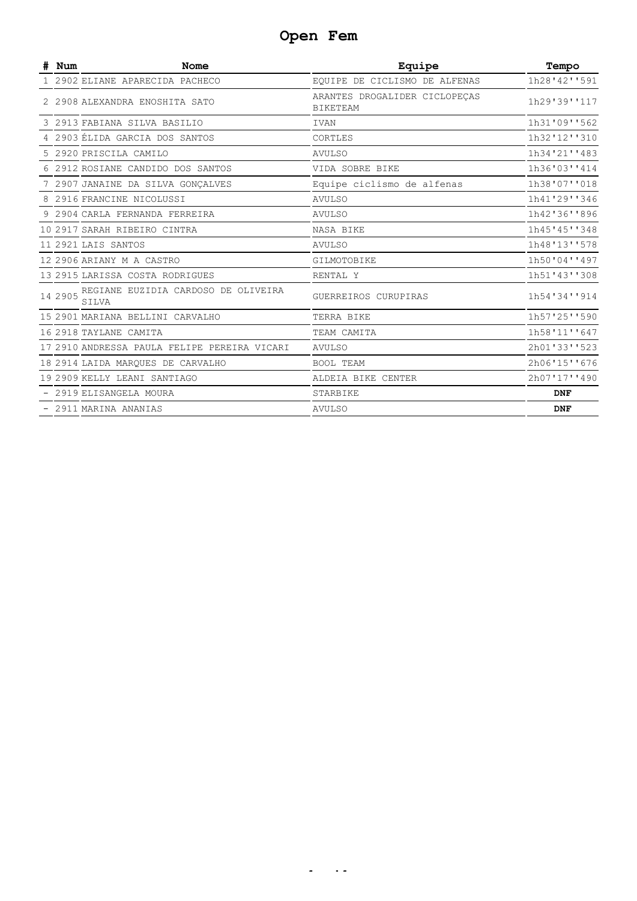## **Open Fem**

| Num     | <b>Nome</b>                                  | Equipe                                           | Tempo        |
|---------|----------------------------------------------|--------------------------------------------------|--------------|
|         | 1 2902 ELIANE APARECIDA PACHECO              | EQUIPE DE CICLISMO DE ALFENAS                    | 1h28'42''591 |
|         | 2 2908 ALEXANDRA ENOSHITA SATO               | ARANTES DROGALIDER CICLOPECAS<br><b>BIKETEAM</b> | 1h29'39''117 |
|         | 3 2913 FABIANA SILVA BASILIO                 | <b>IVAN</b>                                      | 1h31'09''562 |
|         | 4 2903 ÉLIDA GARCIA DOS SANTOS               | CORTLES                                          | 1h32'12''310 |
|         | 5 2920 PRISCILA CAMILO                       | AVULSO                                           | 1h34'21''483 |
|         | 6 2912 ROSIANE CANDIDO DOS SANTOS            | VIDA SOBRE BIKE                                  | 1h36'03''414 |
|         | 7 2907 JANAINE DA SILVA GONÇALVES            | Equipe ciclismo de alfenas                       | 1h38'07''018 |
|         | 8 2916 FRANCINE NICOLUSSI                    | <b>AVULSO</b>                                    | 1h41'29''346 |
|         | 9 2904 CARLA FERNANDA FERREIRA               | <b>AVULSO</b>                                    | 1h42'36''896 |
|         | 10 2917 SARAH RIBEIRO CINTRA                 | NASA BIKE                                        | 1h45'45''348 |
|         | 11 2921 LAIS SANTOS                          | <b>AVULSO</b>                                    | 1h48'13''578 |
|         | 12 2906 ARIANY M A CASTRO                    | GILMOTOBIKE                                      | 1h50'04''497 |
|         | 13 2915 LARISSA COSTA RODRIGUES              | RENTAL Y                                         | 1h51'43''308 |
| 14 2905 | REGIANE EUZIDIA CARDOSO DE OLIVEIRA<br>SILVA | GUERREIROS CURUPIRAS                             | 1h54'34''914 |
|         | 15 2901 MARIANA BELLINI CARVALHO             | TERRA BIKE                                       | 1h57'25''590 |
|         | 16 2918 TAYLANE CAMITA                       | TEAM CAMITA                                      | 1h58'11''647 |
|         | 17 2910 ANDRESSA PAULA FELIPE PEREIRA VICARI | <b>AVULSO</b>                                    | 2h01'33''523 |
|         | 18 2914 LAIDA MARQUES DE CARVALHO            | <b>BOOL TEAM</b>                                 | 2h06'15''676 |
|         | 19 2909 KELLY LEANI SANTIAGO                 | ALDEIA BIKE CENTER                               | 2h07'17''490 |
|         | - 2919 ELISANGELA MOURA                      | STARBIKE                                         | <b>DNF</b>   |
|         | - 2911 MARINA ANANIAS                        | <b>AVULSO</b>                                    | <b>DNF</b>   |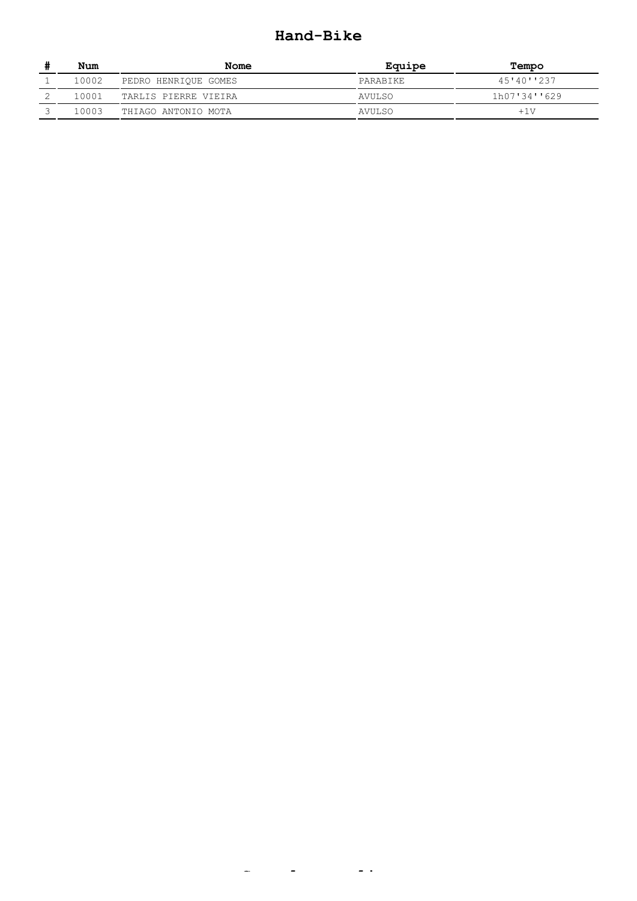#### **Hand-Bike**

| Num   | Nome                 | Equipe        | Tempo        |
|-------|----------------------|---------------|--------------|
| 10002 | PEDRO HENRIOUE GOMES | PARABIKE      | 45'40''237   |
| 10001 | TARLIS PIERRE VIEIRA | AVULSO        | 1h07'34''629 |
| 10003 | THIAGO ANTONIO MOTA  | <b>AVULSO</b> | $+1V$        |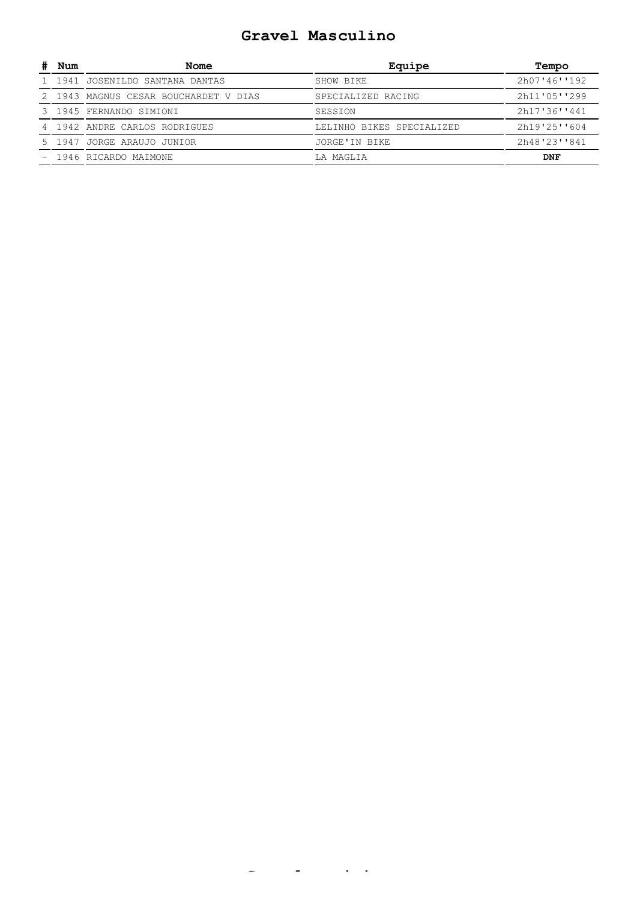#### **Gravel Masculino**

| Num | Nome                                  | Equipe                    | Tempo         |
|-----|---------------------------------------|---------------------------|---------------|
|     | 1 1941 JOSENILDO SANTANA DANTAS       | SHOW BIKE                 | 2h07'46'''192 |
|     | 2 1943 MAGNUS CESAR BOUCHARDET V DIAS | SPECIALIZED RACING        | 2h11'05''299  |
|     | 3 1945 FERNANDO SIMIONI               | SESSION                   | 2h17'36''441  |
|     | 4 1942 ANDRE CARLOS RODRIGUES         | LELINHO BIKES SPECIALIZED | 2h19'25''604  |
|     | 5 1947 JORGE ARAUJO JUNIOR            | JORGE'IN BIKE             | 2h48'23''841  |
|     | - 1946 RICARDO MAIMONE                | LA MAGLIA                 | DNF           |

**G l i i**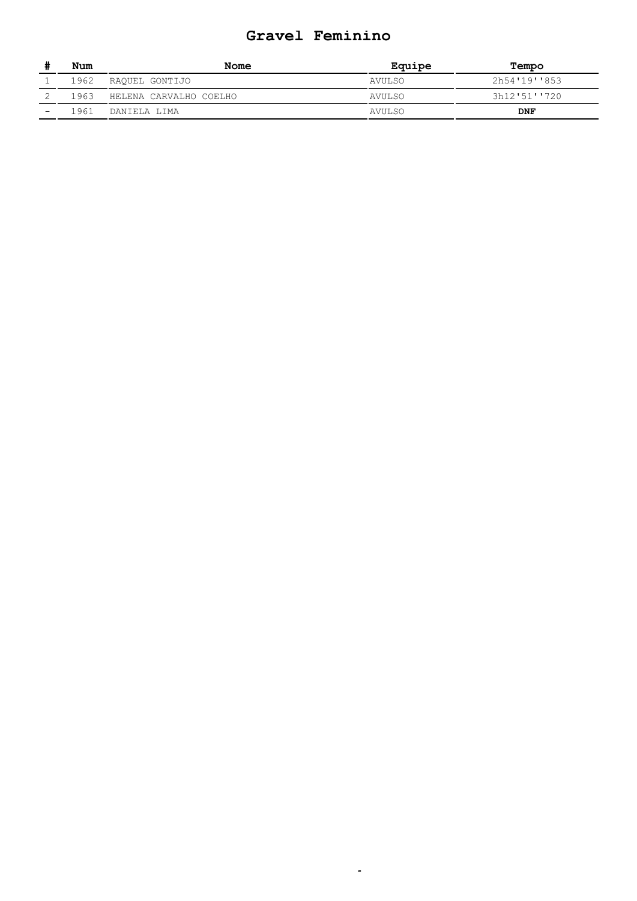#### **Gravel Feminino**

|                          | Num  | Nome                        | Equipe        | Tempo        |
|--------------------------|------|-----------------------------|---------------|--------------|
|                          |      | 1962 RAQUEL GONTIJO         | <b>AVULSO</b> | 2h54'19''853 |
|                          |      | 1963 HELENA CARVALHO COELHO | AVULSO        | 3h12'51''720 |
| $\overline{\phantom{0}}$ | 1961 | DANTELA LIMA                | <b>AVULSO</b> | <b>DNF</b>   |

**d**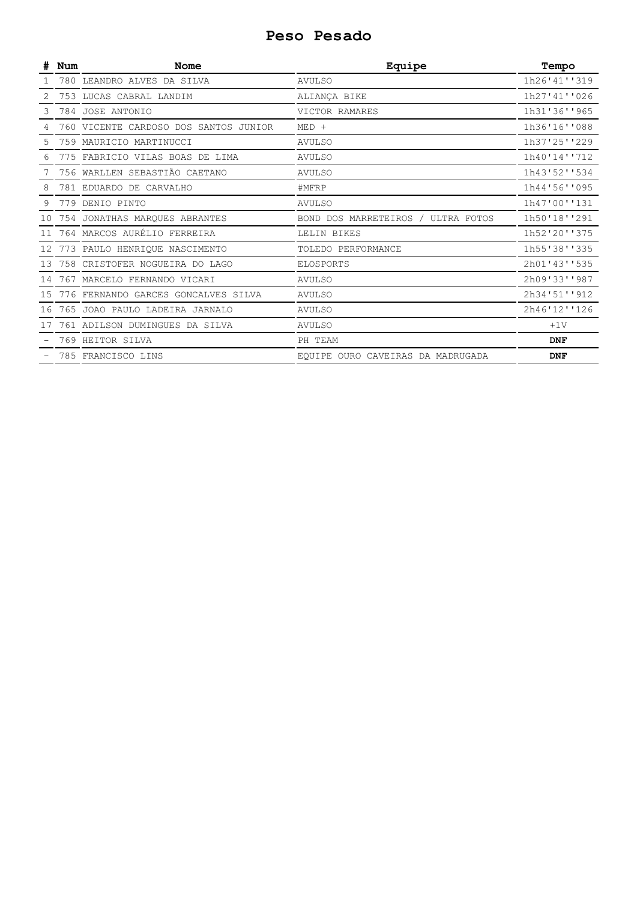#### **Peso Pesado**

|                 | Num | Nome                                  | Equipe                             | Tempo        |
|-----------------|-----|---------------------------------------|------------------------------------|--------------|
|                 |     | 780 LEANDRO ALVES DA SILVA            | <b>AVULSO</b>                      | 1h26'41''319 |
|                 |     | 753 LUCAS CABRAL LANDIM               | ALIANÇA BIKE                       | 1h27'41''026 |
|                 |     | 784 JOSE ANTONIO                      | VICTOR RAMARES                     | 1h31'36''965 |
|                 |     | 760 VICENTE CARDOSO DOS SANTOS JUNIOR | $MED +$                            | 1h36'16''088 |
|                 |     | 759 MAURICIO MARTINUCCI               | <b>AVULSO</b>                      | 1h37'25''229 |
|                 |     | 775 FABRICIO VILAS BOAS DE LIMA       | <b>AVULSO</b>                      | 1h40'14''712 |
|                 |     | 756 WARLLEN SEBASTIÃO CAETANO         | <b>AVULSO</b>                      | 1h43'52''534 |
| 8               |     | 781 EDUARDO DE CARVALHO               | #MFRP                              | 1h44'56''095 |
|                 |     | 779 DENIO PINTO                       | <b>AVULSO</b>                      | 1h47'00''131 |
|                 |     | 754 JONATHAS MARQUES ABRANTES         | BOND DOS MARRETEIROS / ULTRA FOTOS | 1h50'18''291 |
|                 |     | 764 MARCOS AURÉLIO FERREIRA           | LELIN BIKES                        | 1h52'20''375 |
| 12 <sub>1</sub> |     | 773 PAULO HENRIQUE NASCIMENTO         | TOLEDO PERFORMANCE                 | 1h55'38''335 |
|                 |     | 758 CRISTOFER NOGUEIRA DO LAGO        | ELOSPORTS                          | 2h01'43''535 |
| 14              |     | 767 MARCELO FERNANDO VICARI           | <b>AVULSO</b>                      | 2h09'33''987 |
| 15              |     | 776 FERNANDO GARCES GONCALVES SILVA   | <b>AVULSO</b>                      | 2h34'51''912 |
| 16              |     | 765 JOAO PAULO LADEIRA JARNALO        | <b>AVULSO</b>                      | 2h46'12''126 |
|                 |     | 761 ADILSON DUMINGUES DA SILVA        | <b>AVULSO</b>                      | $+1V$        |
|                 |     | 769 HEITOR SILVA                      | PH TEAM                            | <b>DNF</b>   |
|                 |     | 785 FRANCISCO LINS                    | EQUIPE OURO CAVEIRAS DA MADRUGADA  | <b>DNF</b>   |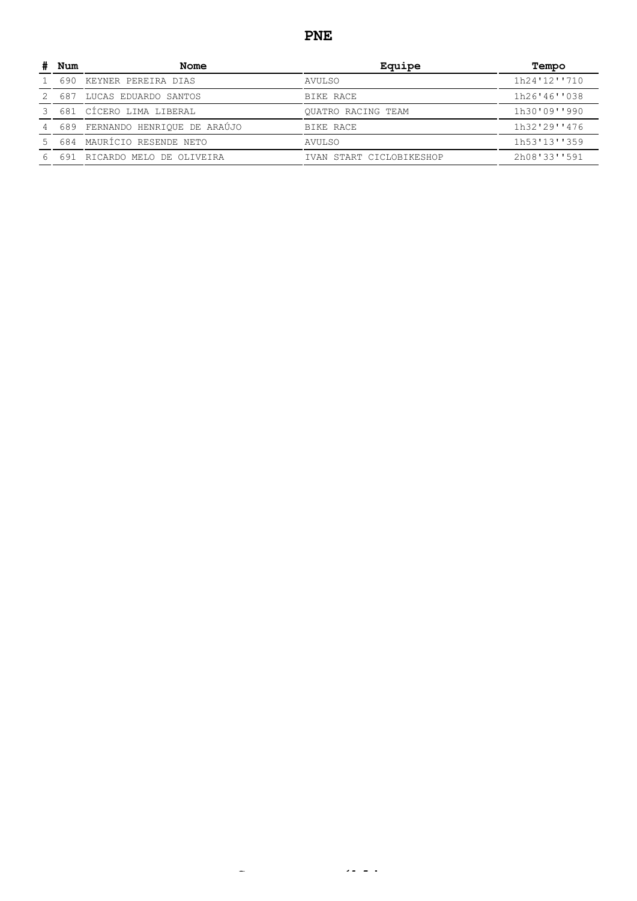#### **PNE**

| Num | Nome                        | Equipe                    | Tempo        |
|-----|-----------------------------|---------------------------|--------------|
| 690 | KEYNER PEREIRA DIAS         | AVULSO                    | 1h24'12''710 |
| 687 | LUCAS EDUARDO SANTOS        | BIKE RACE                 | 1h26'46''038 |
|     | 681 CÍCERO LIMA LIBERAL     | <b>OUATRO RACING TEAM</b> | 1h30'09''990 |
| 689 | FERNANDO HENRIQUE DE ARAÚJO | BIKE RACE                 | 1h32'29''476 |
|     | 684 MAURÍCIO RESENDE NETO   | AVULSO                    | 1h53'13''359 |
| 691 | RICARDO MELO DE OLIVEIRA    | IVAN START CICLOBIKESHOP  | 2h08'33''591 |

**S úbli**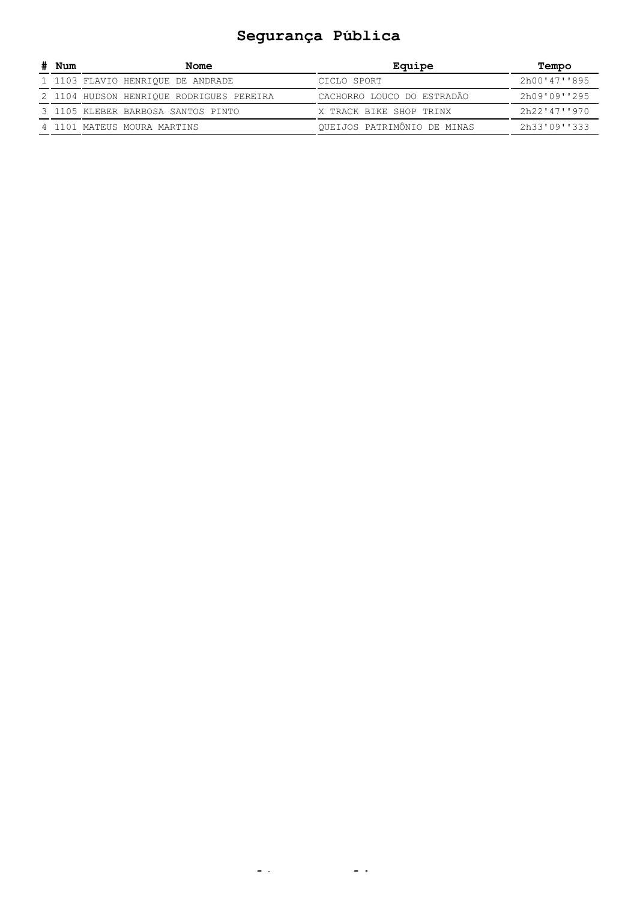# **Segurança Pública**

| # Num | Nome                                     | Equipe                             | Tempo        |
|-------|------------------------------------------|------------------------------------|--------------|
|       | 1 1103 FLAVIO HENRIOUE DE ANDRADE        | CICLO SPORT                        | 2h00'47''895 |
|       | 2 1104 HUDSON HENRIQUE RODRIGUES PEREIRA | CACHORRO LOUCO DO ESTRADÃO         | 2h09'09''295 |
|       | 3 1105 KLEBER BARBOSA SANTOS PINTO       | X TRACK BIKE SHOP TRINX            | 2h22'47''970 |
|       | 4 1101 MATEUS MOURA MARTINS              | <b>OUEIJOS PATRIMÔNIO DE MINAS</b> | 2h33'09''333 |

**lt li**